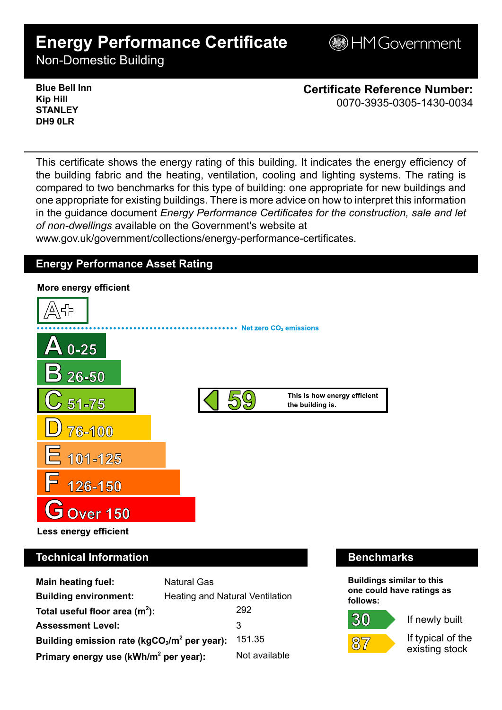# **Energy Performance Certificate**

**BHM Government** 

Non-Domestic Building

**Blue Bell Inn Kip Hill STANLEY DH9 0LR**

**Certificate Reference Number:** 0070-3935-0305-1430-0034

This certificate shows the energy rating of this building. It indicates the energy efficiency of the building fabric and the heating, ventilation, cooling and lighting systems. The rating is compared to two benchmarks for this type of building: one appropriate for new buildings and one appropriate for existing buildings. There is more advice on how to interpret this information in the guidance document *Energy Performance Certificates for the construction, sale and let of non-dwellings* available on the Government's website at

www.gov.uk/government/collections/energy-performance-certificates.

## **Energy Performance Asset Rating**



# **Technical Information Benchmarks**

| Main heating fuel:                                | <b>Natural Gas</b>              |               |
|---------------------------------------------------|---------------------------------|---------------|
| <b>Building environment:</b>                      | Heating and Natural Ventilation |               |
| Total useful floor area $(m^2)$ :                 |                                 | 292           |
| <b>Assessment Level:</b>                          |                                 | 3             |
| Building emission rate ( $kgCO2/m2$ per year):    |                                 | 151.35        |
| Primary energy use (kWh/m <sup>2</sup> per year): |                                 | Not available |

**Buildings similar to this one could have ratings as follows:**



30

If newly built

If typical of the existing stock